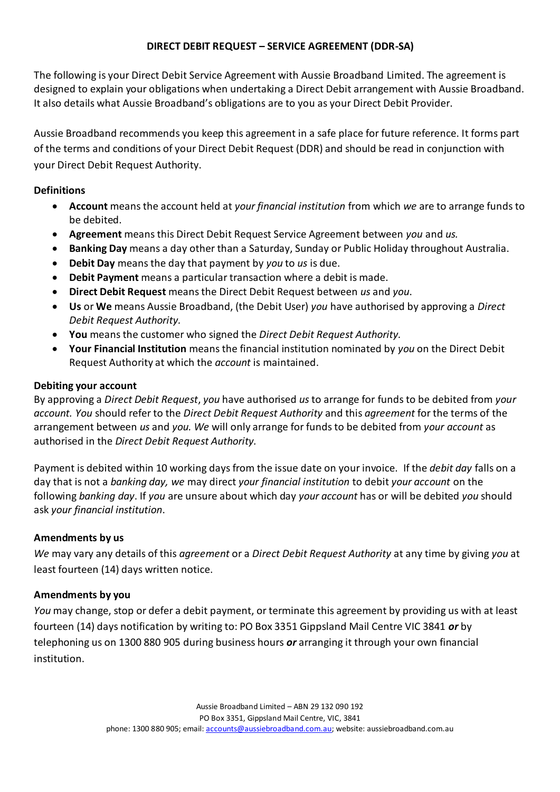### **DIRECT DEBIT REQUEST – SERVICE AGREEMENT (DDR-SA)**

The following is your Direct Debit Service Agreement with Aussie Broadband Limited. The agreement is designed to explain your obligations when undertaking a Direct Debit arrangement with Aussie Broadband. It also details what Aussie Broadband's obligations are to you as your Direct Debit Provider.

Aussie Broadband recommends you keep this agreement in a safe place for future reference. It forms part of the terms and conditions of your Direct Debit Request (DDR) and should be read in conjunction with your Direct Debit Request Authority.

#### **Definitions**

- **Account** means the account held at *your financial institution* from which *we* are to arrange funds to be debited.
- **Agreement** means this Direct Debit Request Service Agreement between *you* and *us.*
- **Banking Day** means a day other than a Saturday, Sunday or Public Holiday throughout Australia.
- **Debit Day** means the day that payment by *you* to *us* is due.
- **Debit Payment** means a particular transaction where a debit is made.
- **Direct Debit Request** means the Direct Debit Request between *us* and *you*.
- **Us** or **We** means Aussie Broadband, (the Debit User) *you* have authorised by approving a *Direct Debit Request Authority.*
- **You** means the customer who signed the *Direct Debit Request Authority.*
- **Your Financial Institution** means the financial institution nominated by *you* on the Direct Debit Request Authority at which the *account* is maintained.

#### **Debiting your account**

By approving a *Direct Debit Request*, *you* have authorised *us* to arrange for funds to be debited from *your account. You* should refer to the *Direct Debit Request Authority* and this *agreement* for the terms of the arrangement between *us* and *you. We* will only arrange for funds to be debited from *your account* as authorised in the *Direct Debit Request Authority.*

Payment is debited within 10 working days from the issue date on your invoice. If the *debit day* falls on a day that is not a *banking day, we* may direct *your financial institution* to debit *your account* on the following *banking day*. If *you* are unsure about which day *your account* has or will be debited *you* should ask *your financial institution*.

#### **Amendments by us**

*We* may vary any details of this *agreement* or a *Direct Debit Request Authority* at any time by giving *you* at least fourteen (14) days written notice.

#### **Amendments by you**

*You* may change, stop or defer a debit payment, or terminate this agreement by providing us with at least fourteen (14) days notification by writing to: PO Box 3351 Gippsland Mail Centre VIC 3841 *or* by telephoning us on 1300 880 905 during business hours *or* arranging it through your own financial institution.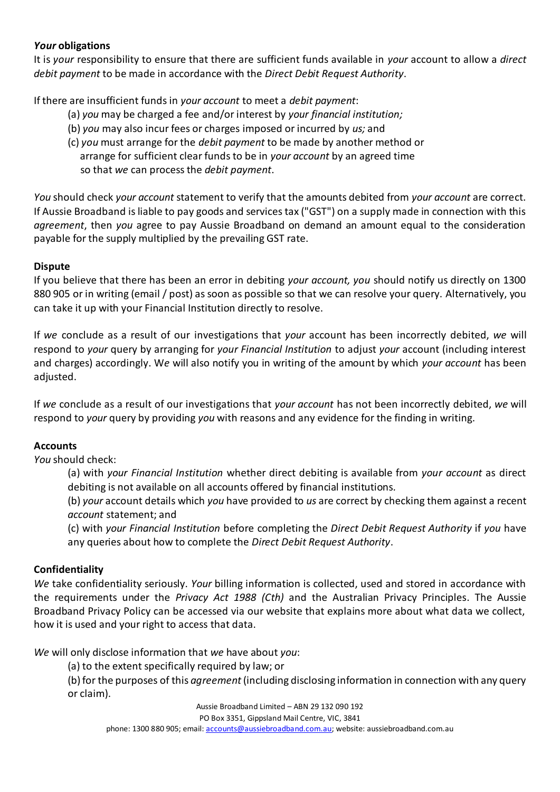## *Your* **obligations**

It is *your* responsibility to ensure that there are sufficient funds available in *your* account to allow a *direct debit payment* to be made in accordance with the *Direct Debit Request Authority*.

If there are insufficient funds in *your account* to meet a *debit payment*:

- (a) *you* may be charged a fee and/or interest by *your financial institution;*
- (b) *you* may also incur fees or charges imposed or incurred by *us;* and
- (c) *you* must arrange for the *debit payment* to be made by another method or arrange for sufficient clear funds to be in *your account* by an agreed time so that *we* can process the *debit payment*.

*You* should check *your account* statement to verify that the amounts debited from *your account* are correct. If Aussie Broadband is liable to pay goods and services tax ("GST") on a supply made in connection with this *agreement*, then *you* agree to pay Aussie Broadband on demand an amount equal to the consideration payable for the supply multiplied by the prevailing GST rate.

## **Dispute**

If you believe that there has been an error in debiting *your account, you* should notify us directly on 1300 880 905 or in writing (email / post) as soon as possible so that we can resolve your query. Alternatively, you can take it up with your Financial Institution directly to resolve.

If *we* conclude as a result of our investigations that *your* account has been incorrectly debited, *we* will respond to *your* query by arranging for *your Financial Institution* to adjust *your* account (including interest and charges) accordingly. W*e* will also notify you in writing of the amount by which *your account* has been adjusted.

If *we* conclude as a result of our investigations that *your account* has not been incorrectly debited, *we* will respond to *your* query by providing *you* with reasons and any evidence for the finding in writing.

# **Accounts**

*You* should check:

(a) with *your Financial Institution* whether direct debiting is available from *your account* as direct debiting is not available on all accounts offered by financial institutions*.*

(b) *your* account details which *you* have provided to *us* are correct by checking them against a recent *account* statement; and

(c) with *your Financial Institution* before completing the *Direct Debit Request Authority* if *you* have any queries about how to complete the *Direct Debit Request Authority*.

## **Confidentiality**

*We* take confidentiality seriously. *Your* billing information is collected, used and stored in accordance with the requirements under the *Privacy Act 1988 (Cth)* and the Australian Privacy Principles. The Aussie Broadband Privacy Policy can be accessed via our website that explains more about what data we collect, how it is used and your right to access that data.

*We* will only disclose information that *we* have about *you*:

(a) to the extent specifically required by law; or

(b) for the purposes of this *agreement* (including disclosing information in connection with any query or claim).

Aussie Broadband Limited – ABN 29 132 090 192

PO Box 3351, Gippsland Mail Centre, VIC, 3841

phone: 1300 880 905; email[: accounts@aussiebroadband.com.au;](mailto:accounts@aussiebroadband.com.au) website: aussiebroadband.com.au